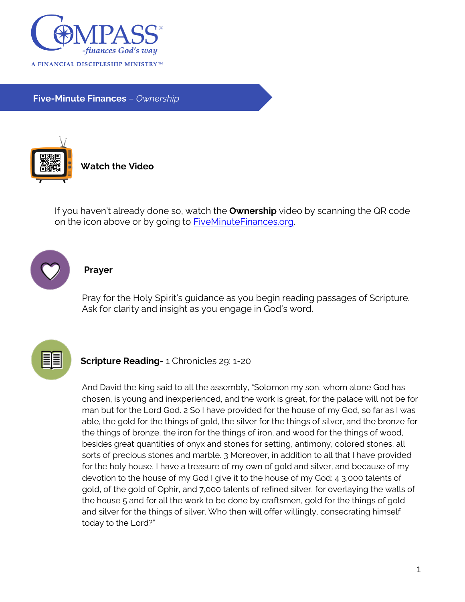

**Five-Minute Finances** – *Ownership*



**Watch the Video**

If you haven't already done so, watch the **Ownership** video by scanning the QR code on the icon above or by going to [FiveMinuteFinances.org.](http://www.fiveminutefinances.org/)



## **Prayer**

Pray for the Holy Spirit's guidance as you begin reading passages of Scripture. Ask for clarity and insight as you engage in God's word.



## **Scripture Reading-** 1 Chronicles 29: 1-20

And David the king said to all the assembly, "Solomon my son, whom alone God has chosen, is young and inexperienced, and the work is great, for the palace will not be for man but for the Lord God. 2 So I have provided for the house of my God, so far as I was able, the gold for the things of gold, the silver for the things of silver, and the bronze for the things of bronze, the iron for the things of iron, and wood for the things of wood, besides great quantities of onyx and stones for setting, antimony, colored stones, all sorts of precious stones and marble. 3 Moreover, in addition to all that I have provided for the holy house, I have a treasure of my own of gold and silver, and because of my devotion to the house of my God I give it to the house of my God: 4 3,000 talents of gold, of the gold of Ophir, and 7,000 talents of refined silver, for overlaying the walls of the house 5 and for all the work to be done by craftsmen, gold for the things of gold and silver for the things of silver. Who then will offer willingly, consecrating himself today to the Lord?"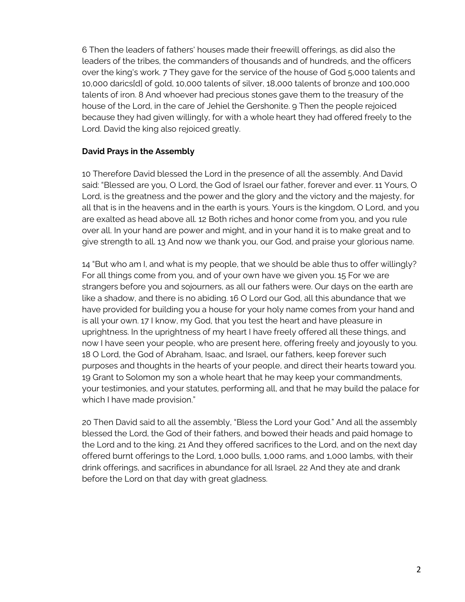6 Then the leaders of fathers' houses made their freewill offerings, as did also the leaders of the tribes, the commanders of thousands and of hundreds, and the officers over the king's work. 7 They gave for the service of the house of God 5,000 talents and 10,000 darics[d] of gold, 10,000 talents of silver, 18,000 talents of bronze and 100,000 talents of iron. 8 And whoever had precious stones gave them to the treasury of the house of the Lord, in the care of Jehiel the Gershonite. 9 Then the people rejoiced because they had given willingly, for with a whole heart they had offered freely to the Lord. David the king also rejoiced greatly.

## **David Prays in the Assembly**

10 Therefore David blessed the Lord in the presence of all the assembly. And David said: "Blessed are you, O Lord, the God of Israel our father, forever and ever. 11 Yours, O Lord, is the greatness and the power and the glory and the victory and the majesty, for all that is in the heavens and in the earth is yours. Yours is the kingdom, O Lord, and you are exalted as head above all. 12 Both riches and honor come from you, and you rule over all. In your hand are power and might, and in your hand it is to make great and to give strength to all. 13 And now we thank you, our God, and praise your glorious name.

14 "But who am I, and what is my people, that we should be able thus to offer willingly? For all things come from you, and of your own have we given you. 15 For we are strangers before you and sojourners, as all our fathers were. Our days on the earth are like a shadow, and there is no abiding. 16 O Lord our God, all this abundance that we have provided for building you a house for your holy name comes from your hand and is all your own. 17 I know, my God, that you test the heart and have pleasure in uprightness. In the uprightness of my heart I have freely offered all these things, and now I have seen your people, who are present here, offering freely and joyously to you. 18 O Lord, the God of Abraham, Isaac, and Israel, our fathers, keep forever such purposes and thoughts in the hearts of your people, and direct their hearts toward you. 19 Grant to Solomon my son a whole heart that he may keep your commandments, your testimonies, and your statutes, performing all, and that he may build the palace for which I have made provision."

20 Then David said to all the assembly, "Bless the Lord your God." And all the assembly blessed the Lord, the God of their fathers, and bowed their heads and paid homage to the Lord and to the king. 21 And they offered sacrifices to the Lord, and on the next day offered burnt offerings to the Lord, 1,000 bulls, 1,000 rams, and 1,000 lambs, with their drink offerings, and sacrifices in abundance for all Israel. 22 And they ate and drank before the Lord on that day with great gladness.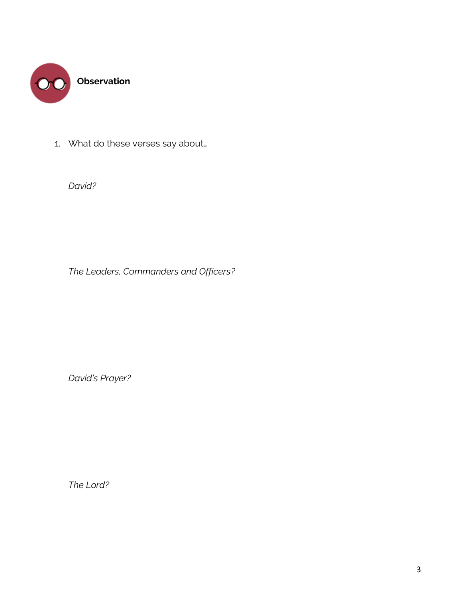

1. What do these verses say about…

*David?*

*The Leaders, Commanders and Officers?*

*David's Prayer?*

*The Lord?*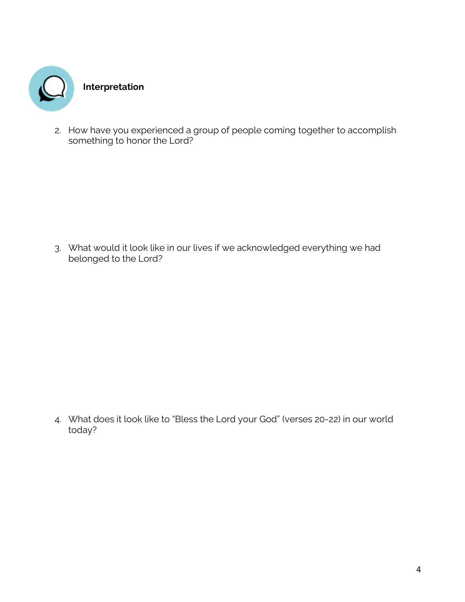

2. How have you experienced a group of people coming together to accomplish something to honor the Lord?

3. What would it look like in our lives if we acknowledged everything we had belonged to the Lord?

4. What does it look like to "Bless the Lord your God" (verses 20-22) in our world today?